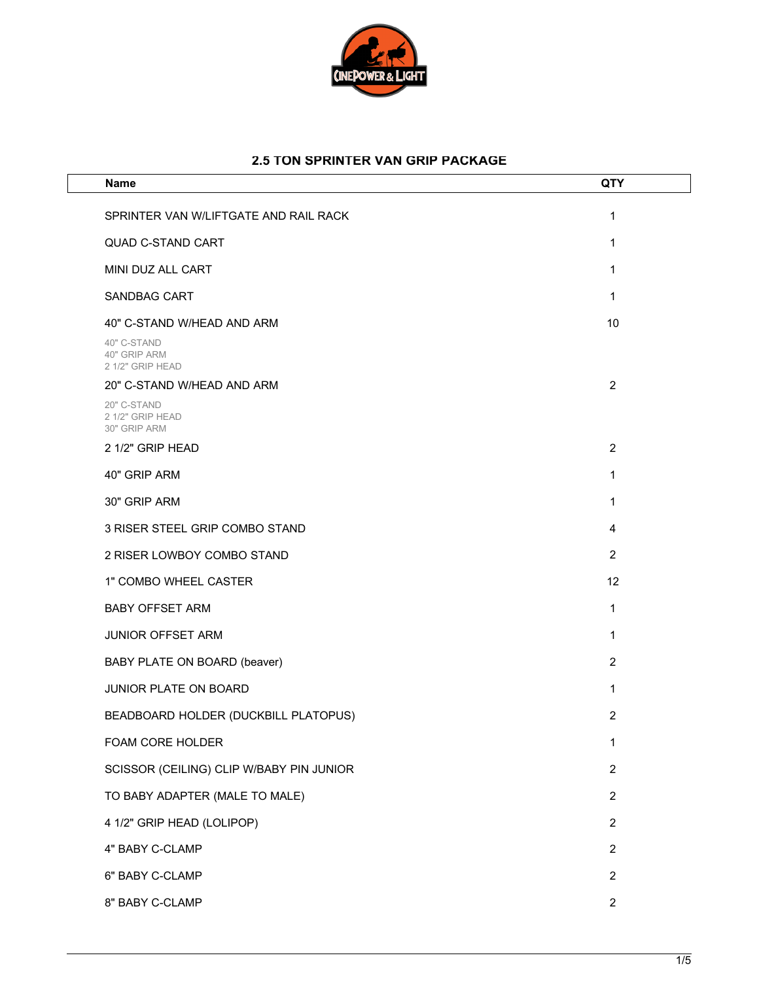

## **2.5 TON SPRINTER VAN GRIP PACKAGE**

| <b>Name</b>                                     | QTY            |
|-------------------------------------------------|----------------|
| SPRINTER VAN W/LIFTGATE AND RAIL RACK           | 1              |
| <b>QUAD C-STAND CART</b>                        | 1              |
| MINI DUZ ALL CART                               | 1              |
| <b>SANDBAG CART</b>                             | 1              |
| 40" C-STAND W/HEAD AND ARM                      | 10             |
| 40" C-STAND<br>40" GRIP ARM<br>2 1/2" GRIP HEAD |                |
| 20" C-STAND W/HEAD AND ARM                      | $\overline{2}$ |
| 20" C-STAND<br>2 1/2" GRIP HEAD<br>30" GRIP ARM |                |
| 2 1/2" GRIP HEAD                                | $\overline{2}$ |
| 40" GRIP ARM                                    | 1              |
| 30" GRIP ARM                                    | 1              |
| 3 RISER STEEL GRIP COMBO STAND                  | 4              |
| 2 RISER LOWBOY COMBO STAND                      | 2              |
| 1" COMBO WHEEL CASTER                           | 12             |
| <b>BABY OFFSET ARM</b>                          | 1              |
| <b>JUNIOR OFFSET ARM</b>                        | 1              |
| BABY PLATE ON BOARD (beaver)                    | $\overline{2}$ |
| <b>JUNIOR PLATE ON BOARD</b>                    | 1              |
| BEADBOARD HOLDER (DUCKBILL PLATOPUS)            | $\overline{2}$ |
| FOAM CORE HOLDER                                | 1              |
| SCISSOR (CEILING) CLIP W/BABY PIN JUNIOR        | $\overline{c}$ |
| TO BABY ADAPTER (MALE TO MALE)                  | $\overline{2}$ |
| 4 1/2" GRIP HEAD (LOLIPOP)                      | 2              |
| 4" BABY C-CLAMP                                 | 2              |
| 6" BABY C-CLAMP                                 | $\overline{2}$ |
| 8" BABY C-CLAMP                                 | $\overline{c}$ |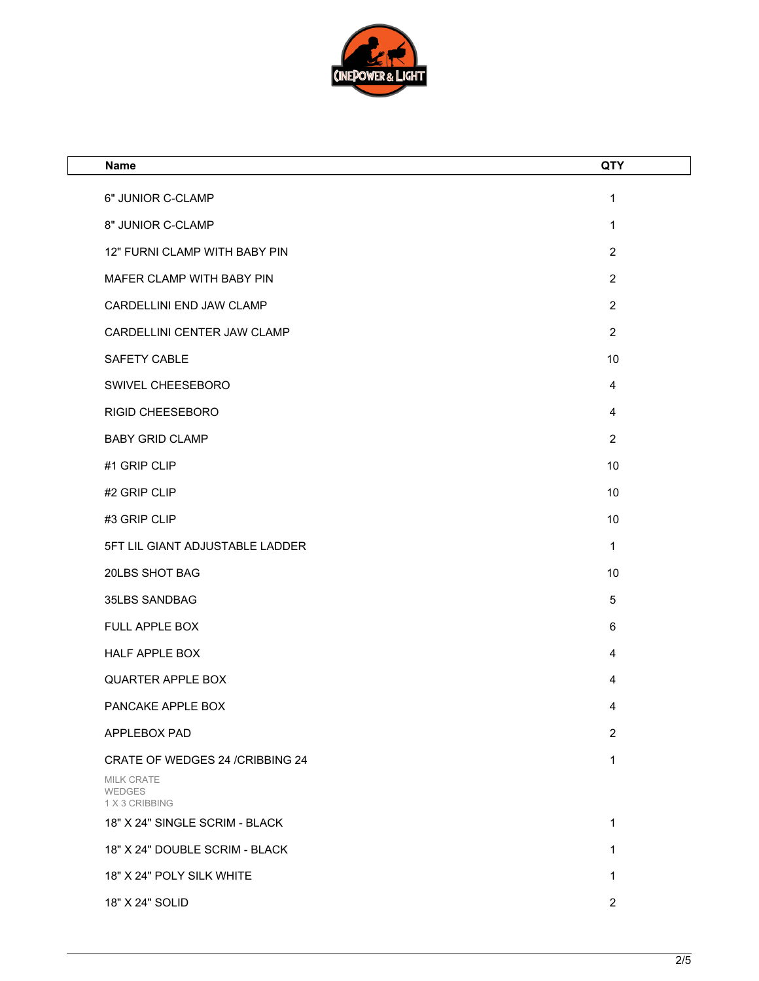

| <b>Name</b>                                   | QTY            |
|-----------------------------------------------|----------------|
| 6" JUNIOR C-CLAMP                             | $\mathbf{1}$   |
| 8" JUNIOR C-CLAMP                             | 1              |
| 12" FURNI CLAMP WITH BABY PIN                 | $\overline{2}$ |
| MAFER CLAMP WITH BABY PIN                     | $\overline{2}$ |
| CARDELLINI END JAW CLAMP                      | $\overline{2}$ |
| CARDELLINI CENTER JAW CLAMP                   | $\overline{2}$ |
| SAFETY CABLE                                  | 10             |
| SWIVEL CHEESEBORO                             | 4              |
| RIGID CHEESEBORO                              | 4              |
| <b>BABY GRID CLAMP</b>                        | $\overline{2}$ |
| #1 GRIP CLIP                                  | 10             |
| #2 GRIP CLIP                                  | 10             |
| #3 GRIP CLIP                                  | 10             |
| 5FT LIL GIANT ADJUSTABLE LADDER               | $\mathbf{1}$   |
| 20LBS SHOT BAG                                | 10             |
| 35LBS SANDBAG                                 | $\sqrt{5}$     |
| FULL APPLE BOX                                | 6              |
| HALF APPLE BOX                                | 4              |
| <b>QUARTER APPLE BOX</b>                      | 4              |
| PANCAKE APPLE BOX                             | 4              |
| APPLEBOX PAD                                  | $\overline{2}$ |
| CRATE OF WEDGES 24 / CRIBBING 24              | $\mathbf{1}$   |
| <b>MILK CRATE</b><br>WEDGES<br>1 X 3 CRIBBING |                |
| 18" X 24" SINGLE SCRIM - BLACK                | 1              |
| 18" X 24" DOUBLE SCRIM - BLACK                | 1              |
| 18" X 24" POLY SILK WHITE                     | 1              |
| 18" X 24" SOLID                               | $\overline{2}$ |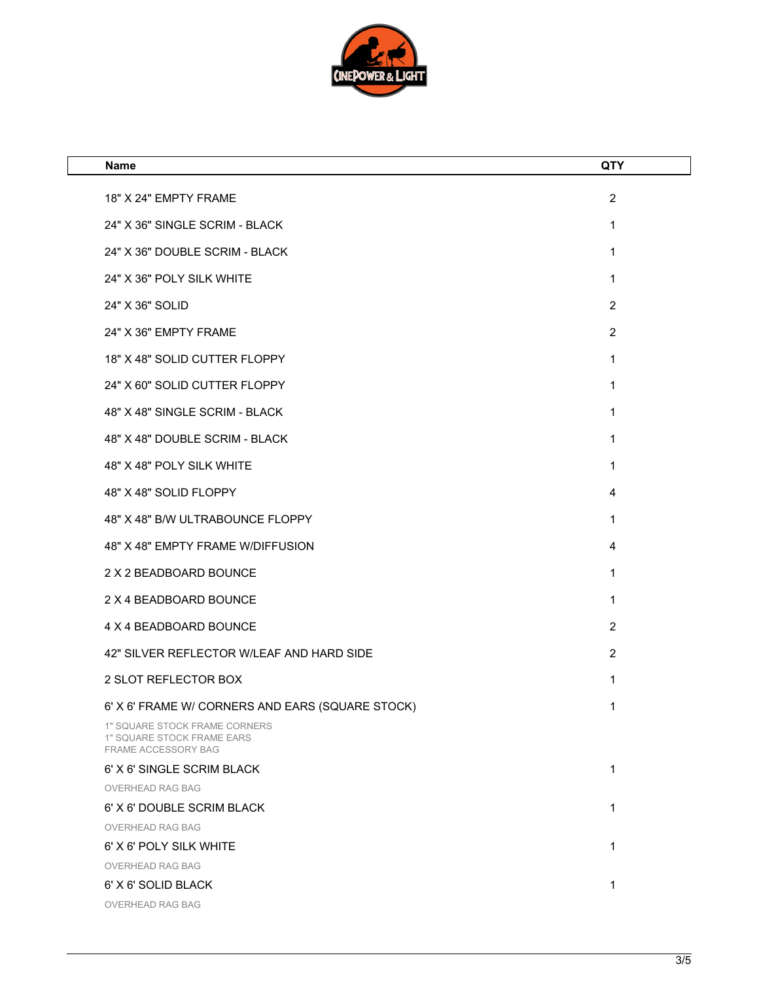

| Name                                                                                                            | <b>QTY</b>     |
|-----------------------------------------------------------------------------------------------------------------|----------------|
| 18" X 24" EMPTY FRAME                                                                                           | $\overline{2}$ |
| 24" X 36" SINGLE SCRIM - BLACK                                                                                  | 1              |
| 24" X 36" DOUBLE SCRIM - BLACK                                                                                  | 1              |
| 24" X 36" POLY SILK WHITE                                                                                       | 1              |
| 24" X 36" SOLID                                                                                                 | $\overline{2}$ |
|                                                                                                                 |                |
| 24" X 36" EMPTY FRAME                                                                                           | $\overline{2}$ |
| 18" X 48" SOLID CUTTER FLOPPY                                                                                   | 1              |
| 24" X 60" SOLID CUTTER FLOPPY                                                                                   | 1              |
| 48" X 48" SINGLE SCRIM - BLACK                                                                                  | 1              |
| 48" X 48" DOUBLE SCRIM - BLACK                                                                                  | 1              |
| 48" X 48" POLY SILK WHITE                                                                                       | 1              |
| 48" X 48" SOLID FLOPPY                                                                                          | 4              |
| 48" X 48" B/W ULTRABOUNCE FLOPPY                                                                                | 1              |
| 48" X 48" EMPTY FRAME W/DIFFUSION                                                                               | 4              |
| 2 X 2 BEADBOARD BOUNCE                                                                                          | 1              |
| 2 X 4 BEADBOARD BOUNCE                                                                                          | 1              |
| 4 X 4 BEADBOARD BOUNCE                                                                                          | $\overline{2}$ |
| 42" SILVER REFLECTOR W/LEAF AND HARD SIDE                                                                       | $\overline{2}$ |
| 2 SLOT REFLECTOR BOX                                                                                            | 1              |
|                                                                                                                 |                |
| 6' X 6' FRAME W/ CORNERS AND EARS (SQUARE STOCK)<br>1" SQUARE STOCK FRAME CORNERS<br>1" SQUARE STOCK FRAME EARS | 1              |
| FRAME ACCESSORY BAG<br>6' X 6' SINGLE SCRIM BLACK                                                               | 1              |
| <b>OVERHEAD RAG BAG</b>                                                                                         |                |
| 6' X 6' DOUBLE SCRIM BLACK                                                                                      | 1              |
| OVERHEAD RAG BAG                                                                                                |                |
| 6' X 6' POLY SILK WHITE                                                                                         | 1              |
| OVERHEAD RAG BAG                                                                                                |                |
| 6' X 6' SOLID BLACK                                                                                             | 1              |
| OVERHEAD RAG BAG                                                                                                |                |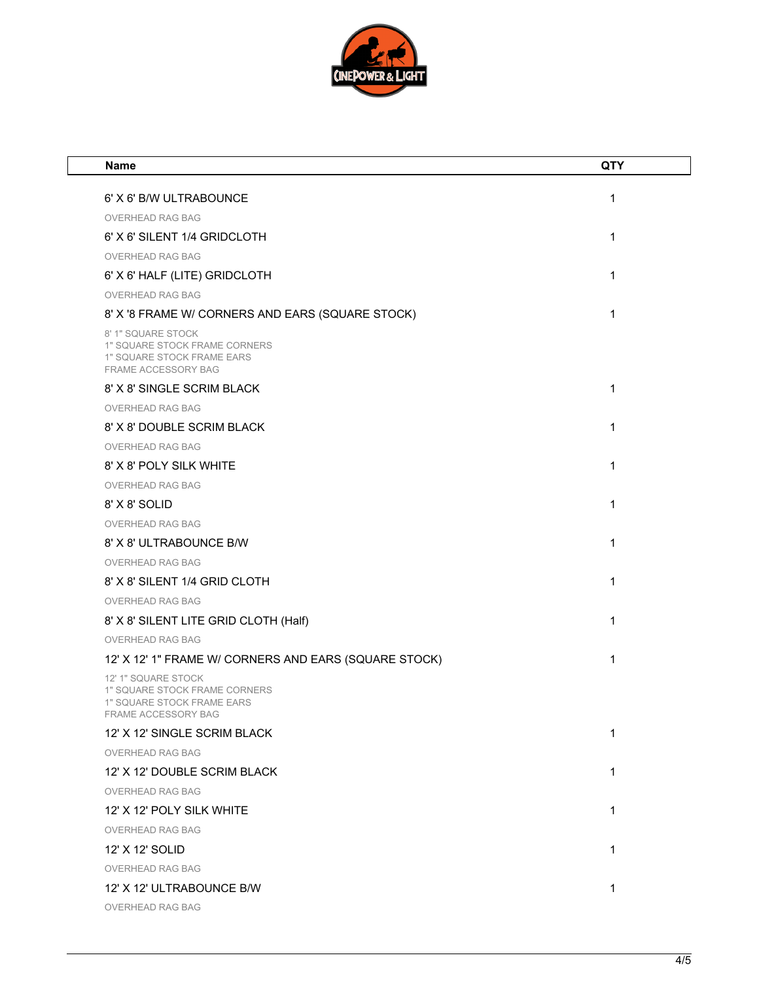

| <b>Name</b>                                                                                               | <b>QTY</b> |
|-----------------------------------------------------------------------------------------------------------|------------|
| 6' X 6' B/W ULTRABOUNCE                                                                                   | 1          |
| OVERHEAD RAG BAG                                                                                          |            |
| 6' X 6' SILENT 1/4 GRIDCLOTH                                                                              | 1          |
| <b>OVERHEAD RAG BAG</b>                                                                                   |            |
| 6' X 6' HALF (LITE) GRIDCLOTH                                                                             | 1          |
| <b>OVERHEAD RAG BAG</b>                                                                                   |            |
| 8' X '8 FRAME W/ CORNERS AND EARS (SQUARE STOCK)                                                          | 1          |
| 8' 1" SQUARE STOCK<br>1" SQUARE STOCK FRAME CORNERS<br>1" SQUARE STOCK FRAME EARS<br>FRAME ACCESSORY BAG  |            |
| 8' X 8' SINGLE SCRIM BLACK                                                                                | 1          |
| <b>OVERHEAD RAG BAG</b>                                                                                   |            |
| 8' X 8' DOUBLE SCRIM BLACK                                                                                | 1          |
| <b>OVERHEAD RAG BAG</b>                                                                                   |            |
| 8' X 8' POLY SILK WHITE                                                                                   | 1          |
| OVERHEAD RAG BAG                                                                                          |            |
| 8' X 8' SOLID                                                                                             | 1          |
| OVERHEAD RAG BAG                                                                                          |            |
| 8' X 8' ULTRABOUNCE B/W                                                                                   | 1          |
| <b>OVERHEAD RAG BAG</b>                                                                                   |            |
| 8' X 8' SILENT 1/4 GRID CLOTH                                                                             | 1          |
| <b>OVERHEAD RAG BAG</b>                                                                                   |            |
| 8' X 8' SILENT LITE GRID CLOTH (Half)                                                                     | 1          |
| <b>OVERHEAD RAG BAG</b>                                                                                   |            |
| 12' X 12' 1" FRAME W/ CORNERS AND EARS (SQUARE STOCK)                                                     | 1          |
| 12' 1" SQUARE STOCK<br>1" SQUARE STOCK FRAME CORNERS<br>1" SQUARE STOCK FRAME EARS<br>FRAME ACCESSORY BAG |            |
| 12' X 12' SINGLE SCRIM BLACK                                                                              | 1          |
| OVERHEAD RAG BAG                                                                                          |            |
| 12' X 12' DOUBLE SCRIM BLACK                                                                              | 1          |
| OVERHEAD RAG BAG                                                                                          |            |
| 12' X 12' POLY SILK WHITE                                                                                 | 1          |
| <b>OVERHEAD RAG BAG</b>                                                                                   |            |
| 12' X 12' SOLID                                                                                           | 1          |
| <b>OVERHEAD RAG BAG</b>                                                                                   |            |
| 12' X 12' ULTRABOUNCE B/W                                                                                 | 1          |
| OVERHEAD RAG BAG                                                                                          |            |